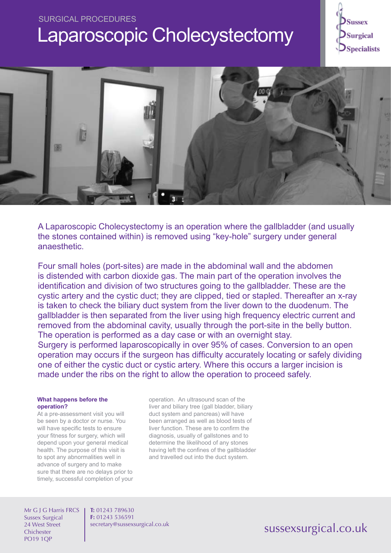# SURGICAL PROCEDURES Laparoscopic Cholecystectomy





A Laparoscopic Cholecystectomy is an operation where the gallbladder (and usually the stones contained within) is removed using "key-hole" surgery under general anaesthetic.

Four small holes (port-sites) are made in the abdominal wall and the abdomen is distended with carbon dioxide gas. The main part of the operation involves the identification and division of two structures going to the gallbladder. These are the cystic artery and the cystic duct; they are clipped, tied or stapled. Thereafter an x-ray is taken to check the biliary duct system from the liver down to the duodenum. The gallbladder is then separated from the liver using high frequency electric current and removed from the abdominal cavity, usually through the port-site in the belly button. The operation is performed as a day case or with an overnight stay. Surgery is performed laparoscopically in over 95% of cases. Conversion to an open

operation may occurs if the surgeon has difficulty accurately locating or safely dividing one of either the cystic duct or cystic artery. Where this occurs a larger incision is made under the ribs on the right to allow the operation to proceed safely.

## **What happens before the operation?**

At a pre-assessment visit you will be seen by a doctor or nurse. You will have specific tests to ensure your fitness for surgery, which will depend upon your general medical health. The purpose of this visit is to spot any abnormalities well in advance of surgery and to make sure that there are no delays prior to timely, successful completion of your operation. An ultrasound scan of the liver and biliary tree (gall bladder, biliary duct system and pancreas) will have been arranged as well as blood tests of liver function. These are to confirm the diagnosis, usually of gallstones and to determine the likelihood of any stones having left the confines of the gallbladder and travelled out into the duct system.

Mr G J G Harris FRCS Sussex Surgical 24 West Street **Chichester** PO19 1QP

**T:** 01243 789630 **F:** 01243 536591 secretary@sussexsurgical.co.uk

## sussexsurgical.co.uk